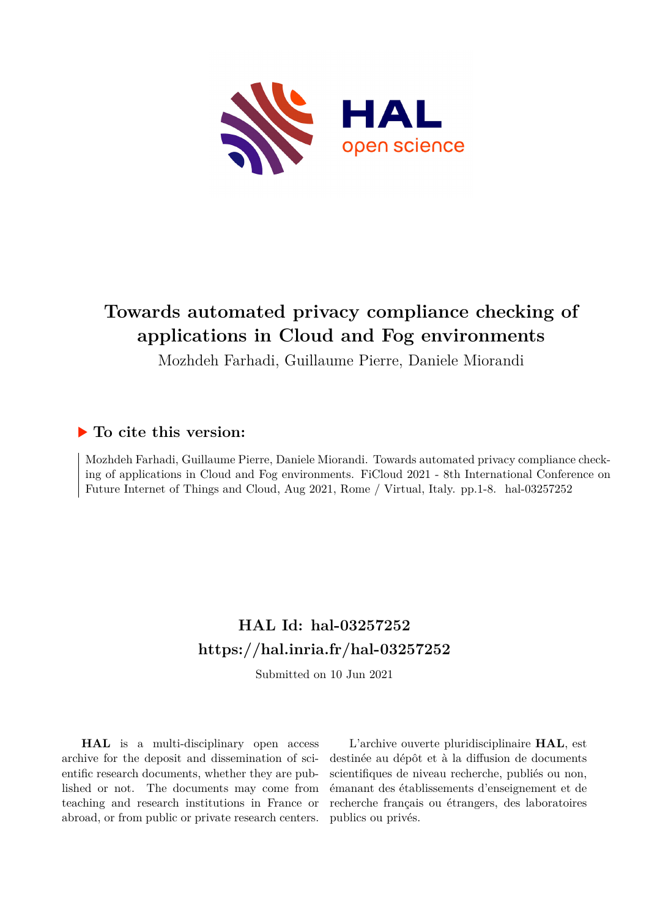

## **Towards automated privacy compliance checking of applications in Cloud and Fog environments**

Mozhdeh Farhadi, Guillaume Pierre, Daniele Miorandi

### **To cite this version:**

Mozhdeh Farhadi, Guillaume Pierre, Daniele Miorandi. Towards automated privacy compliance checking of applications in Cloud and Fog environments. FiCloud 2021 - 8th International Conference on Future Internet of Things and Cloud, Aug 2021, Rome / Virtual, Italy. pp.1-8. hal-03257252

## **HAL Id: hal-03257252 <https://hal.inria.fr/hal-03257252>**

Submitted on 10 Jun 2021

**HAL** is a multi-disciplinary open access archive for the deposit and dissemination of scientific research documents, whether they are published or not. The documents may come from teaching and research institutions in France or abroad, or from public or private research centers.

L'archive ouverte pluridisciplinaire **HAL**, est destinée au dépôt et à la diffusion de documents scientifiques de niveau recherche, publiés ou non, émanant des établissements d'enseignement et de recherche français ou étrangers, des laboratoires publics ou privés.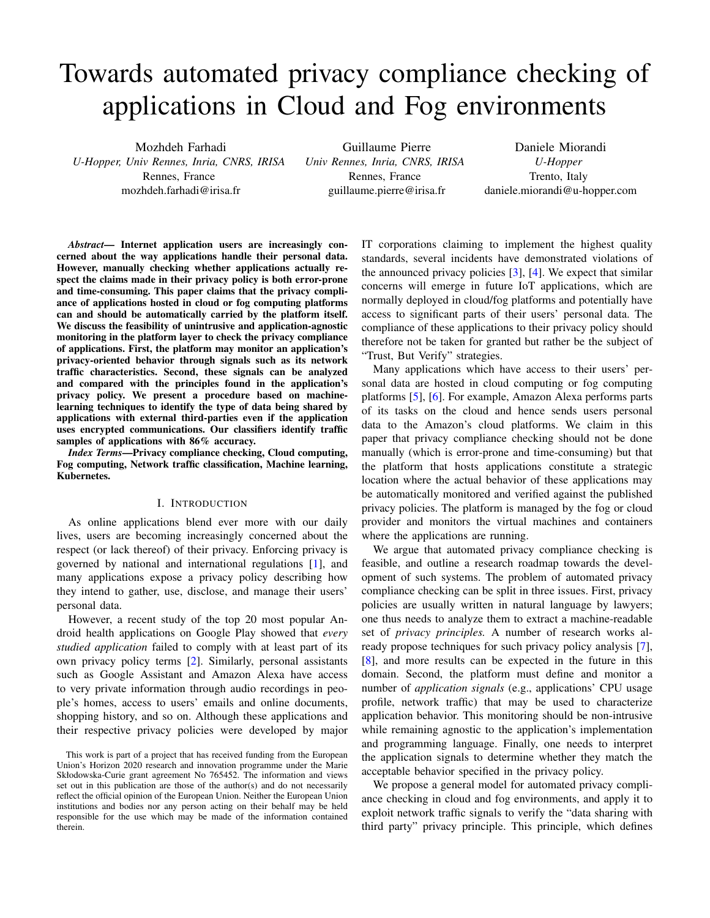# Towards automated privacy compliance checking of applications in Cloud and Fog environments

Mozhdeh Farhadi *U-Hopper, Univ Rennes, Inria, CNRS, IRISA* Rennes, France mozhdeh.farhadi@irisa.fr

Guillaume Pierre *Univ Rennes, Inria, CNRS, IRISA* Rennes, France guillaume.pierre@irisa.fr

Daniele Miorandi *U-Hopper* Trento, Italy daniele.miorandi@u-hopper.com

*Abstract*— Internet application users are increasingly concerned about the way applications handle their personal data. However, manually checking whether applications actually respect the claims made in their privacy policy is both error-prone and time-consuming. This paper claims that the privacy compliance of applications hosted in cloud or fog computing platforms can and should be automatically carried by the platform itself. We discuss the feasibility of unintrusive and application-agnostic monitoring in the platform layer to check the privacy compliance of applications. First, the platform may monitor an application's privacy-oriented behavior through signals such as its network traffic characteristics. Second, these signals can be analyzed and compared with the principles found in the application's privacy policy. We present a procedure based on machinelearning techniques to identify the type of data being shared by applications with external third-parties even if the application uses encrypted communications. Our classifiers identify traffic samples of applications with 86% accuracy.

*Index Terms*—Privacy compliance checking, Cloud computing, Fog computing, Network traffic classification, Machine learning, Kubernetes.

#### I. INTRODUCTION

As online applications blend ever more with our daily lives, users are becoming increasingly concerned about the respect (or lack thereof) of their privacy. Enforcing privacy is governed by national and international regulations [1], and many applications expose a privacy policy describing how they intend to gather, use, disclose, and manage their users' personal data.

However, a recent study of the top 20 most popular Android health applications on Google Play showed that *every studied application* failed to comply with at least part of its own privacy policy terms [2]. Similarly, personal assistants such as Google Assistant and Amazon Alexa have access to very private information through audio recordings in people's homes, access to users' emails and online documents, shopping history, and so on. Although these applications and their respective privacy policies were developed by major IT corporations claiming to implement the highest quality standards, several incidents have demonstrated violations of the announced privacy policies [3], [4]. We expect that similar concerns will emerge in future IoT applications, which are normally deployed in cloud/fog platforms and potentially have access to significant parts of their users' personal data. The compliance of these applications to their privacy policy should therefore not be taken for granted but rather be the subject of "Trust, But Verify" strategies.

Many applications which have access to their users' personal data are hosted in cloud computing or fog computing platforms [5], [6]. For example, Amazon Alexa performs parts of its tasks on the cloud and hence sends users personal data to the Amazon's cloud platforms. We claim in this paper that privacy compliance checking should not be done manually (which is error-prone and time-consuming) but that the platform that hosts applications constitute a strategic location where the actual behavior of these applications may be automatically monitored and verified against the published privacy policies. The platform is managed by the fog or cloud provider and monitors the virtual machines and containers where the applications are running.

We argue that automated privacy compliance checking is feasible, and outline a research roadmap towards the development of such systems. The problem of automated privacy compliance checking can be split in three issues. First, privacy policies are usually written in natural language by lawyers; one thus needs to analyze them to extract a machine-readable set of *privacy principles.* A number of research works already propose techniques for such privacy policy analysis [7], [8], and more results can be expected in the future in this domain. Second, the platform must define and monitor a number of *application signals* (e.g., applications' CPU usage profile, network traffic) that may be used to characterize application behavior. This monitoring should be non-intrusive while remaining agnostic to the application's implementation and programming language. Finally, one needs to interpret the application signals to determine whether they match the acceptable behavior specified in the privacy policy.

We propose a general model for automated privacy compliance checking in cloud and fog environments, and apply it to exploit network traffic signals to verify the "data sharing with third party" privacy principle. This principle, which defines

This work is part of a project that has received funding from the European Union's Horizon 2020 research and innovation programme under the Marie Skłodowska-Curie grant agreement No 765452. The information and views set out in this publication are those of the author(s) and do not necessarily reflect the official opinion of the European Union. Neither the European Union institutions and bodies nor any person acting on their behalf may be held responsible for the use which may be made of the information contained therein.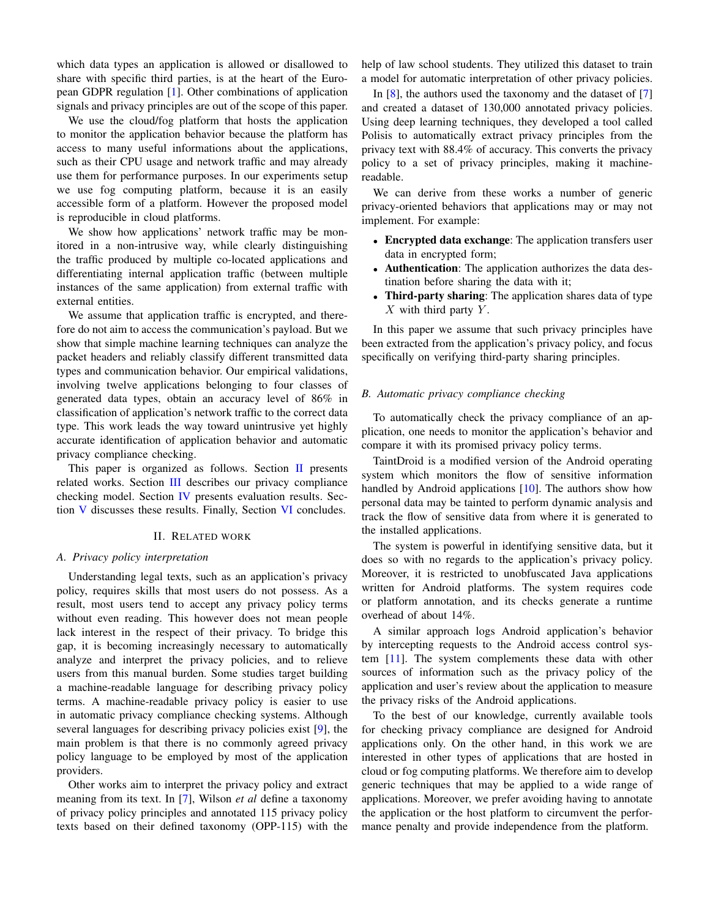which data types an application is allowed or disallowed to share with specific third parties, is at the heart of the European GDPR regulation [1]. Other combinations of application signals and privacy principles are out of the scope of this paper.

We use the cloud/fog platform that hosts the application to monitor the application behavior because the platform has access to many useful informations about the applications, such as their CPU usage and network traffic and may already use them for performance purposes. In our experiments setup we use fog computing platform, because it is an easily accessible form of a platform. However the proposed model is reproducible in cloud platforms.

We show how applications' network traffic may be monitored in a non-intrusive way, while clearly distinguishing the traffic produced by multiple co-located applications and differentiating internal application traffic (between multiple instances of the same application) from external traffic with external entities.

We assume that application traffic is encrypted, and therefore do not aim to access the communication's payload. But we show that simple machine learning techniques can analyze the packet headers and reliably classify different transmitted data types and communication behavior. Our empirical validations, involving twelve applications belonging to four classes of generated data types, obtain an accuracy level of 86% in classification of application's network traffic to the correct data type. This work leads the way toward unintrusive yet highly accurate identification of application behavior and automatic privacy compliance checking.

This paper is organized as follows. Section II presents related works. Section III describes our privacy compliance checking model. Section IV presents evaluation results. Section V discusses these results. Finally, Section VI concludes.

#### II. RELATED WORK

#### *A. Privacy policy interpretation*

Understanding legal texts, such as an application's privacy policy, requires skills that most users do not possess. As a result, most users tend to accept any privacy policy terms without even reading. This however does not mean people lack interest in the respect of their privacy. To bridge this gap, it is becoming increasingly necessary to automatically analyze and interpret the privacy policies, and to relieve users from this manual burden. Some studies target building a machine-readable language for describing privacy policy terms. A machine-readable privacy policy is easier to use in automatic privacy compliance checking systems. Although several languages for describing privacy policies exist [9], the main problem is that there is no commonly agreed privacy policy language to be employed by most of the application providers.

Other works aim to interpret the privacy policy and extract meaning from its text. In [7], Wilson *et al* define a taxonomy of privacy policy principles and annotated 115 privacy policy texts based on their defined taxonomy (OPP-115) with the help of law school students. They utilized this dataset to train a model for automatic interpretation of other privacy policies.

In [8], the authors used the taxonomy and the dataset of [7] and created a dataset of 130,000 annotated privacy policies. Using deep learning techniques, they developed a tool called Polisis to automatically extract privacy principles from the privacy text with 88.4% of accuracy. This converts the privacy policy to a set of privacy principles, making it machinereadable.

We can derive from these works a number of generic privacy-oriented behaviors that applications may or may not implement. For example:

- Encrypted data exchange: The application transfers user data in encrypted form;
- Authentication: The application authorizes the data destination before sharing the data with it;
- Third-party sharing: The application shares data of type  $X$  with third party  $Y$ .

In this paper we assume that such privacy principles have been extracted from the application's privacy policy, and focus specifically on verifying third-party sharing principles.

#### *B. Automatic privacy compliance checking*

To automatically check the privacy compliance of an application, one needs to monitor the application's behavior and compare it with its promised privacy policy terms.

TaintDroid is a modified version of the Android operating system which monitors the flow of sensitive information handled by Android applications  $[10]$ . The authors show how personal data may be tainted to perform dynamic analysis and track the flow of sensitive data from where it is generated to the installed applications.

The system is powerful in identifying sensitive data, but it does so with no regards to the application's privacy policy. Moreover, it is restricted to unobfuscated Java applications written for Android platforms. The system requires code or platform annotation, and its checks generate a runtime overhead of about 14%.

A similar approach logs Android application's behavior by intercepting requests to the Android access control system [11]. The system complements these data with other sources of information such as the privacy policy of the application and user's review about the application to measure the privacy risks of the Android applications.

To the best of our knowledge, currently available tools for checking privacy compliance are designed for Android applications only. On the other hand, in this work we are interested in other types of applications that are hosted in cloud or fog computing platforms. We therefore aim to develop generic techniques that may be applied to a wide range of applications. Moreover, we prefer avoiding having to annotate the application or the host platform to circumvent the performance penalty and provide independence from the platform.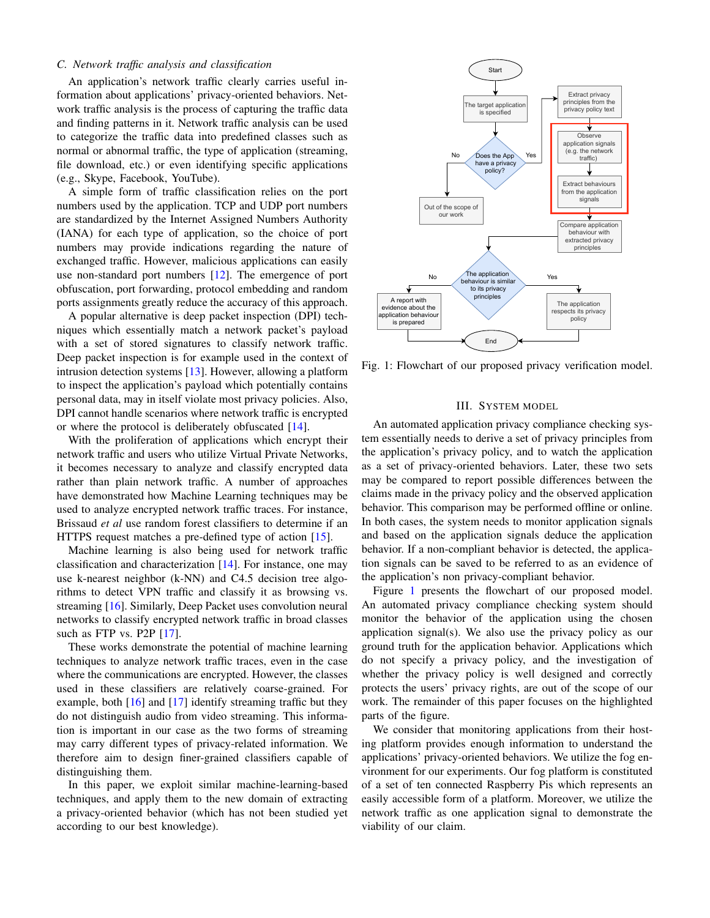#### *C. Network traffic analysis and classification*

An application's network traffic clearly carries useful information about applications' privacy-oriented behaviors. Network traffic analysis is the process of capturing the traffic data and finding patterns in it. Network traffic analysis can be used to categorize the traffic data into predefined classes such as normal or abnormal traffic, the type of application (streaming, file download, etc.) or even identifying specific applications (e.g., Skype, Facebook, YouTube).

A simple form of traffic classification relies on the port numbers used by the application. TCP and UDP port numbers are standardized by the Internet Assigned Numbers Authority (IANA) for each type of application, so the choice of port numbers may provide indications regarding the nature of exchanged traffic. However, malicious applications can easily use non-standard port numbers [12]. The emergence of port obfuscation, port forwarding, protocol embedding and random ports assignments greatly reduce the accuracy of this approach.

A popular alternative is deep packet inspection (DPI) techniques which essentially match a network packet's payload with a set of stored signatures to classify network traffic. Deep packet inspection is for example used in the context of intrusion detection systems [13]. However, allowing a platform to inspect the application's payload which potentially contains personal data, may in itself violate most privacy policies. Also, DPI cannot handle scenarios where network traffic is encrypted or where the protocol is deliberately obfuscated [14].

With the proliferation of applications which encrypt their network traffic and users who utilize Virtual Private Networks, it becomes necessary to analyze and classify encrypted data rather than plain network traffic. A number of approaches have demonstrated how Machine Learning techniques may be used to analyze encrypted network traffic traces. For instance, Brissaud *et al* use random forest classifiers to determine if an HTTPS request matches a pre-defined type of action [15].

Machine learning is also being used for network traffic classification and characterization  $[14]$ . For instance, one may use k-nearest neighbor (k-NN) and C4.5 decision tree algorithms to detect VPN traffic and classify it as browsing vs. streaming [16]. Similarly, Deep Packet uses convolution neural networks to classify encrypted network traffic in broad classes such as FTP vs. P2P [17].

These works demonstrate the potential of machine learning techniques to analyze network traffic traces, even in the case where the communications are encrypted. However, the classes used in these classifiers are relatively coarse-grained. For example, both [16] and [17] identify streaming traffic but they do not distinguish audio from video streaming. This information is important in our case as the two forms of streaming may carry different types of privacy-related information. We therefore aim to design finer-grained classifiers capable of distinguishing them.

In this paper, we exploit similar machine-learning-based techniques, and apply them to the new domain of extracting a privacy-oriented behavior (which has not been studied yet according to our best knowledge).



Fig. 1: Flowchart of our proposed privacy verification model.

#### III. SYSTEM MODEL

An automated application privacy compliance checking system essentially needs to derive a set of privacy principles from the application's privacy policy, and to watch the application as a set of privacy-oriented behaviors. Later, these two sets may be compared to report possible differences between the claims made in the privacy policy and the observed application behavior. This comparison may be performed offline or online. In both cases, the system needs to monitor application signals and based on the application signals deduce the application behavior. If a non-compliant behavior is detected, the application signals can be saved to be referred to as an evidence of the application's non privacy-compliant behavior.

Figure 1 presents the flowchart of our proposed model. An automated privacy compliance checking system should monitor the behavior of the application using the chosen application signal(s). We also use the privacy policy as our ground truth for the application behavior. Applications which do not specify a privacy policy, and the investigation of whether the privacy policy is well designed and correctly protects the users' privacy rights, are out of the scope of our work. The remainder of this paper focuses on the highlighted parts of the figure.

We consider that monitoring applications from their hosting platform provides enough information to understand the applications' privacy-oriented behaviors. We utilize the fog environment for our experiments. Our fog platform is constituted of a set of ten connected Raspberry Pis which represents an easily accessible form of a platform. Moreover, we utilize the network traffic as one application signal to demonstrate the viability of our claim.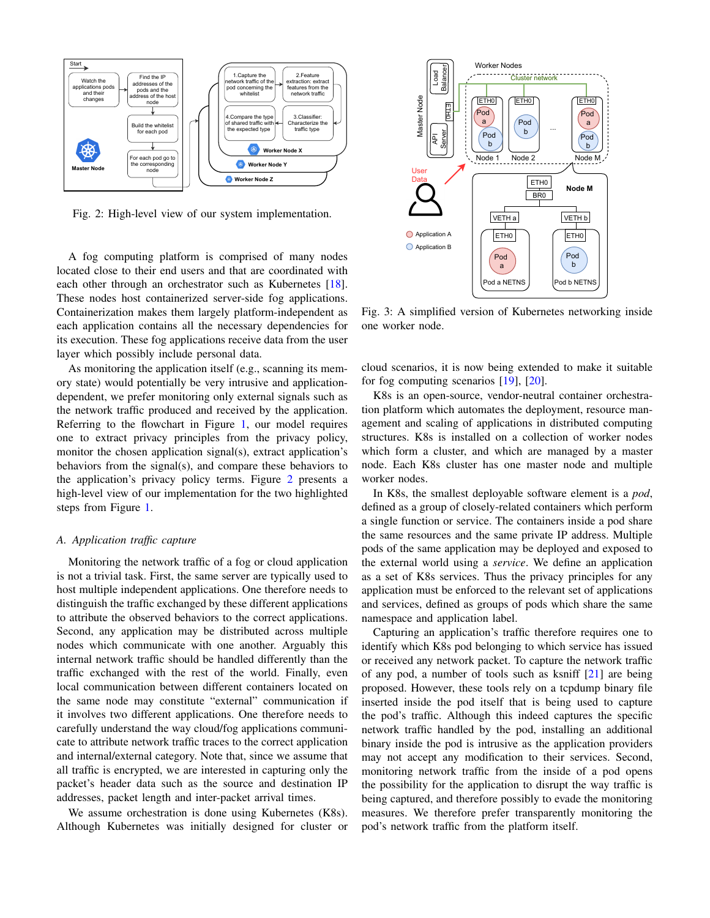

Fig. 2: High-level view of our system implementation.

A fog computing platform is comprised of many nodes located close to their end users and that are coordinated with each other through an orchestrator such as Kubernetes [18]. These nodes host containerized server-side fog applications. Containerization makes them largely platform-independent as each application contains all the necessary dependencies for its execution. These fog applications receive data from the user layer which possibly include personal data.

As monitoring the application itself (e.g., scanning its memory state) would potentially be very intrusive and applicationdependent, we prefer monitoring only external signals such as the network traffic produced and received by the application. Referring to the flowchart in Figure 1, our model requires one to extract privacy principles from the privacy policy, monitor the chosen application signal(s), extract application's behaviors from the signal(s), and compare these behaviors to the application's privacy policy terms. Figure 2 presents a high-level view of our implementation for the two highlighted steps from Figure 1.

#### *A. Application traffic capture*

Monitoring the network traffic of a fog or cloud application is not a trivial task. First, the same server are typically used to host multiple independent applications. One therefore needs to distinguish the traffic exchanged by these different applications to attribute the observed behaviors to the correct applications. Second, any application may be distributed across multiple nodes which communicate with one another. Arguably this internal network traffic should be handled differently than the traffic exchanged with the rest of the world. Finally, even local communication between different containers located on the same node may constitute "external" communication if it involves two different applications. One therefore needs to carefully understand the way cloud/fog applications communicate to attribute network traffic traces to the correct application and internal/external category. Note that, since we assume that all traffic is encrypted, we are interested in capturing only the packet's header data such as the source and destination IP addresses, packet length and inter-packet arrival times.

We assume orchestration is done using Kubernetes (K8s). Although Kubernetes was initially designed for cluster or



Fig. 3: A simplified version of Kubernetes networking inside one worker node.

cloud scenarios, it is now being extended to make it suitable for fog computing scenarios [19], [20].

K8s is an open-source, vendor-neutral container orchestration platform which automates the deployment, resource management and scaling of applications in distributed computing structures. K8s is installed on a collection of worker nodes which form a cluster, and which are managed by a master node. Each K8s cluster has one master node and multiple worker nodes.

In K8s, the smallest deployable software element is a *pod*, defined as a group of closely-related containers which perform a single function or service. The containers inside a pod share the same resources and the same private IP address. Multiple pods of the same application may be deployed and exposed to the external world using a *service*. We define an application as a set of K8s services. Thus the privacy principles for any application must be enforced to the relevant set of applications and services, defined as groups of pods which share the same namespace and application label.

Capturing an application's traffic therefore requires one to identify which K8s pod belonging to which service has issued or received any network packet. To capture the network traffic of any pod, a number of tools such as ksniff [21] are being proposed. However, these tools rely on a tcpdump binary file inserted inside the pod itself that is being used to capture the pod's traffic. Although this indeed captures the specific network traffic handled by the pod, installing an additional binary inside the pod is intrusive as the application providers may not accept any modification to their services. Second, monitoring network traffic from the inside of a pod opens the possibility for the application to disrupt the way traffic is being captured, and therefore possibly to evade the monitoring measures. We therefore prefer transparently monitoring the pod's network traffic from the platform itself.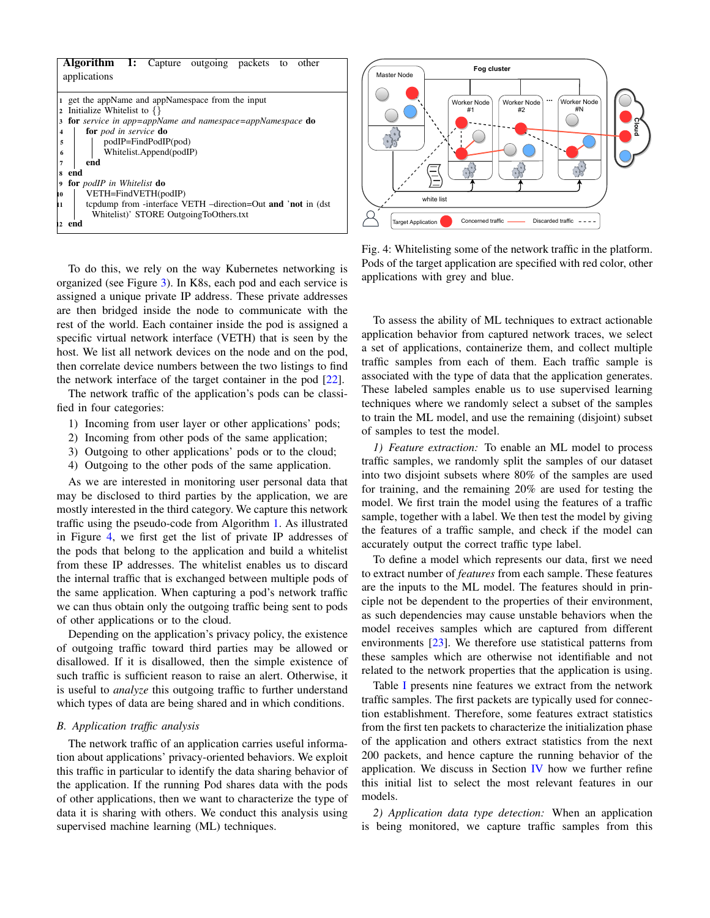| <b>Algorithm 1:</b> Capture outgoing packets to<br>other            |  |  |  |  |  |
|---------------------------------------------------------------------|--|--|--|--|--|
| applications                                                        |  |  |  |  |  |
|                                                                     |  |  |  |  |  |
| get the appName and appNamespace from the input                     |  |  |  |  |  |
| Initialize Whitelist to $\{\}$<br>$\overline{2}$                    |  |  |  |  |  |
| for service in app=appName and namespace=appNamespace do<br>3       |  |  |  |  |  |
| <b>for</b> pod in service <b>do</b><br>4                            |  |  |  |  |  |
| podIP=FindPodIP(pod)<br>5                                           |  |  |  |  |  |
| Whitelist.Append(podIP)<br>6                                        |  |  |  |  |  |
| end<br>7                                                            |  |  |  |  |  |
| end<br>8                                                            |  |  |  |  |  |
| for <i>podIP</i> in Whitelist <b>do</b><br>9                        |  |  |  |  |  |
| VETH=FindVETH(podIP)<br>10                                          |  |  |  |  |  |
| tepdump from -interface VETH -direction=Out and 'not in (dst)<br>h1 |  |  |  |  |  |
| Whitelist)' STORE OutgoingToOthers.txt                              |  |  |  |  |  |
| end<br>12.                                                          |  |  |  |  |  |

To do this, we rely on the way Kubernetes networking is organized (see Figure 3). In K8s, each pod and each service is assigned a unique private IP address. These private addresses are then bridged inside the node to communicate with the rest of the world. Each container inside the pod is assigned a specific virtual network interface (VETH) that is seen by the host. We list all network devices on the node and on the pod, then correlate device numbers between the two listings to find the network interface of the target container in the pod [22].

The network traffic of the application's pods can be classified in four categories:

- 1) Incoming from user layer or other applications' pods;
- 2) Incoming from other pods of the same application;
- 3) Outgoing to other applications' pods or to the cloud;
- 4) Outgoing to the other pods of the same application.

As we are interested in monitoring user personal data that may be disclosed to third parties by the application, we are mostly interested in the third category. We capture this network traffic using the pseudo-code from Algorithm 1. As illustrated in Figure 4, we first get the list of private IP addresses of the pods that belong to the application and build a whitelist from these IP addresses. The whitelist enables us to discard the internal traffic that is exchanged between multiple pods of the same application. When capturing a pod's network traffic we can thus obtain only the outgoing traffic being sent to pods of other applications or to the cloud.

Depending on the application's privacy policy, the existence of outgoing traffic toward third parties may be allowed or disallowed. If it is disallowed, then the simple existence of such traffic is sufficient reason to raise an alert. Otherwise, it is useful to *analyze* this outgoing traffic to further understand which types of data are being shared and in which conditions.

#### *B. Application traffic analysis*

The network traffic of an application carries useful information about applications' privacy-oriented behaviors. We exploit this traffic in particular to identify the data sharing behavior of the application. If the running Pod shares data with the pods of other applications, then we want to characterize the type of data it is sharing with others. We conduct this analysis using supervised machine learning (ML) techniques.



Fig. 4: Whitelisting some of the network traffic in the platform. Pods of the target application are specified with red color, other applications with grey and blue.

To assess the ability of ML techniques to extract actionable application behavior from captured network traces, we select a set of applications, containerize them, and collect multiple traffic samples from each of them. Each traffic sample is associated with the type of data that the application generates. These labeled samples enable us to use supervised learning techniques where we randomly select a subset of the samples to train the ML model, and use the remaining (disjoint) subset of samples to test the model.

*1) Feature extraction:* To enable an ML model to process traffic samples, we randomly split the samples of our dataset into two disjoint subsets where 80% of the samples are used for training, and the remaining 20% are used for testing the model. We first train the model using the features of a traffic sample, together with a label. We then test the model by giving the features of a traffic sample, and check if the model can accurately output the correct traffic type label.

To define a model which represents our data, first we need to extract number of *features* from each sample. These features are the inputs to the ML model. The features should in principle not be dependent to the properties of their environment, as such dependencies may cause unstable behaviors when the model receives samples which are captured from different environments [23]. We therefore use statistical patterns from these samples which are otherwise not identifiable and not related to the network properties that the application is using.

Table I presents nine features we extract from the network traffic samples. The first packets are typically used for connection establishment. Therefore, some features extract statistics from the first ten packets to characterize the initialization phase of the application and others extract statistics from the next 200 packets, and hence capture the running behavior of the application. We discuss in Section IV how we further refine this initial list to select the most relevant features in our models.

*2) Application data type detection:* When an application is being monitored, we capture traffic samples from this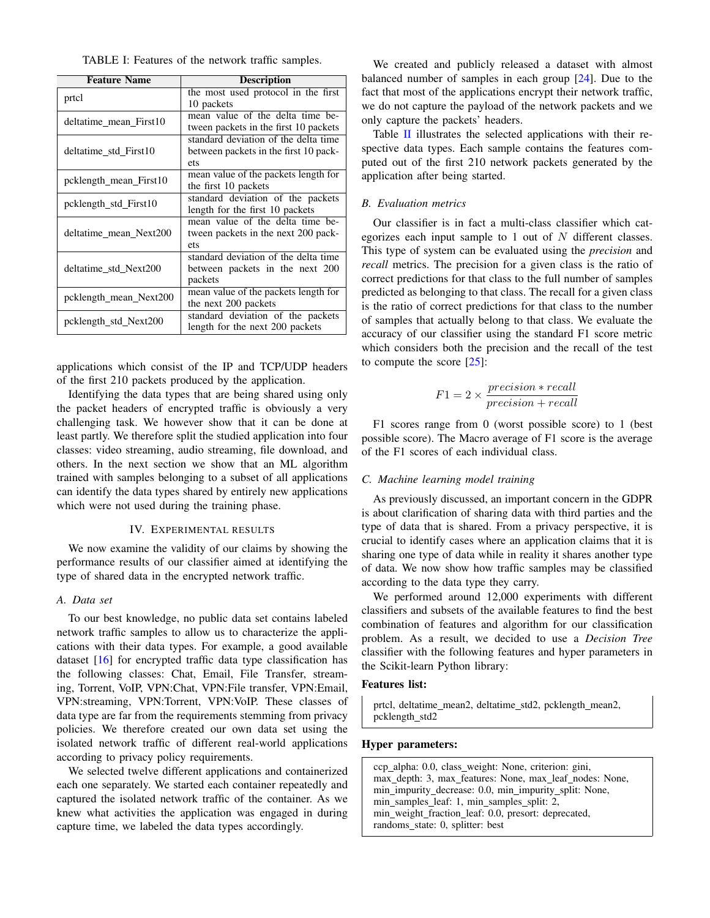| TABLE I: Features of the network traffic samples. |  |
|---------------------------------------------------|--|
|---------------------------------------------------|--|

| <b>Feature Name</b>    | <b>Description</b>                    |
|------------------------|---------------------------------------|
| prtcl                  | the most used protocol in the first   |
|                        | 10 packets                            |
| deltatime mean First10 | mean value of the delta time be-      |
|                        | tween packets in the first 10 packets |
|                        | standard deviation of the delta time  |
| deltatime std First10  | between packets in the first 10 pack- |
|                        | ets                                   |
| pcklength mean First10 | mean value of the packets length for  |
|                        | the first 10 packets                  |
| pcklength std First10  | standard deviation of the packets     |
|                        | length for the first 10 packets       |
|                        | mean value of the delta time be-      |
| deltatime mean Next200 | tween packets in the next 200 pack-   |
|                        | ets                                   |
|                        | standard deviation of the delta time  |
| deltatime std Next200  | between packets in the next 200       |
|                        | packets                               |
| pcklength_mean_Next200 | mean value of the packets length for  |
|                        | the next 200 packets                  |
| pcklength std Next200  | standard deviation of the packets     |
|                        | length for the next 200 packets       |

applications which consist of the IP and TCP/UDP headers of the first 210 packets produced by the application.

Identifying the data types that are being shared using only the packet headers of encrypted traffic is obviously a very challenging task. We however show that it can be done at least partly. We therefore split the studied application into four classes: video streaming, audio streaming, file download, and others. In the next section we show that an ML algorithm trained with samples belonging to a subset of all applications can identify the data types shared by entirely new applications which were not used during the training phase.

#### IV. EXPERIMENTAL RESULTS

We now examine the validity of our claims by showing the performance results of our classifier aimed at identifying the type of shared data in the encrypted network traffic.

#### *A. Data set*

To our best knowledge, no public data set contains labeled network traffic samples to allow us to characterize the applications with their data types. For example, a good available dataset [16] for encrypted traffic data type classification has the following classes: Chat, Email, File Transfer, streaming, Torrent, VoIP, VPN:Chat, VPN:File transfer, VPN:Email, VPN:streaming, VPN:Torrent, VPN:VoIP. These classes of data type are far from the requirements stemming from privacy policies. We therefore created our own data set using the isolated network traffic of different real-world applications according to privacy policy requirements.

We selected twelve different applications and containerized each one separately. We started each container repeatedly and captured the isolated network traffic of the container. As we knew what activities the application was engaged in during capture time, we labeled the data types accordingly.

We created and publicly released a dataset with almost balanced number of samples in each group [24]. Due to the fact that most of the applications encrypt their network traffic, we do not capture the payload of the network packets and we only capture the packets' headers.

Table II illustrates the selected applications with their respective data types. Each sample contains the features computed out of the first 210 network packets generated by the application after being started.

#### *B. Evaluation metrics*

Our classifier is in fact a multi-class classifier which categorizes each input sample to 1 out of  $N$  different classes. This type of system can be evaluated using the *precision* and *recall* metrics. The precision for a given class is the ratio of correct predictions for that class to the full number of samples predicted as belonging to that class. The recall for a given class is the ratio of correct predictions for that class to the number of samples that actually belong to that class. We evaluate the accuracy of our classifier using the standard F1 score metric which considers both the precision and the recall of the test to compute the score [25]:

$$
F1 = 2 \times \frac{precision * recall}{precision + recall}
$$

F1 scores range from 0 (worst possible score) to 1 (best possible score). The Macro average of F1 score is the average of the F1 scores of each individual class.

#### *C. Machine learning model training*

As previously discussed, an important concern in the GDPR is about clarification of sharing data with third parties and the type of data that is shared. From a privacy perspective, it is crucial to identify cases where an application claims that it is sharing one type of data while in reality it shares another type of data. We now show how traffic samples may be classified according to the data type they carry.

We performed around 12,000 experiments with different classifiers and subsets of the available features to find the best combination of features and algorithm for our classification problem. As a result, we decided to use a *Decision Tree* classifier with the following features and hyper parameters in the Scikit-learn Python library:

#### Features list:

prtcl, deltatime\_mean2, deltatime\_std2, pcklength\_mean2, pcklength std2

#### Hyper parameters:

ccp\_alpha: 0.0, class\_weight: None, criterion: gini, max\_depth: 3, max\_features: None, max\_leaf\_nodes: None, min\_impurity\_decrease: 0.0, min\_impurity\_split: None, min\_samples\_leaf: 1, min\_samples\_split: 2, min weight fraction leaf: 0.0, presort: deprecated, randoms\_state: 0, splitter: best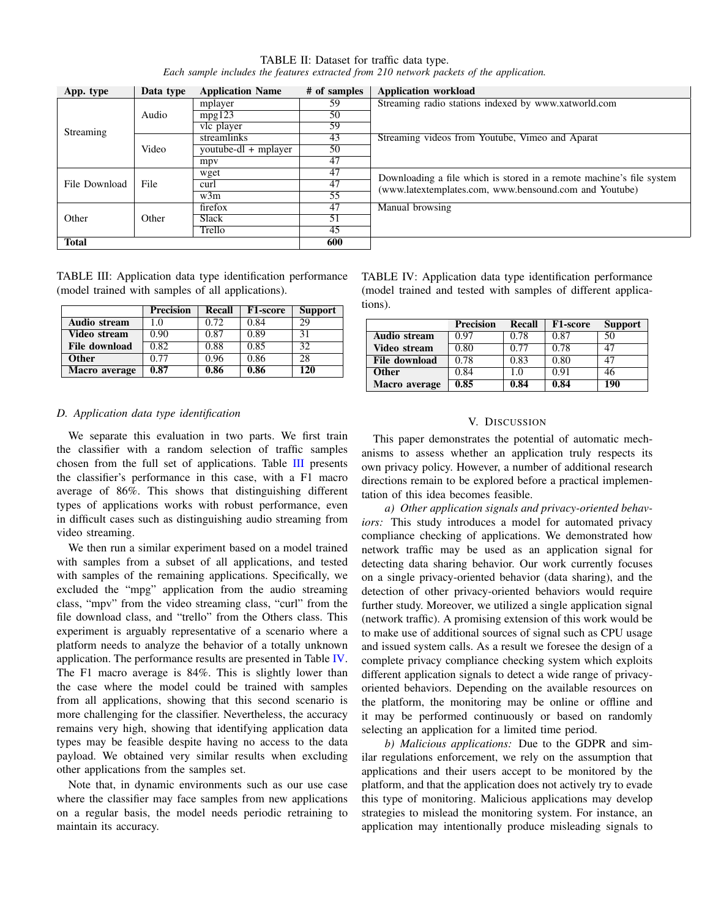|                                                                                          | TABLE II: Dataset for traffic data type. |  |
|------------------------------------------------------------------------------------------|------------------------------------------|--|
| Each sample includes the features extracted from 210 network packets of the application. |                                          |  |

| App. type     | Data type | <b>Application Name</b> | # of samples | <b>Application workload</b>                                          |
|---------------|-----------|-------------------------|--------------|----------------------------------------------------------------------|
|               |           | mplayer                 | 59           | Streaming radio stations indexed by www.xatworld.com                 |
|               | Audio     | mpg123                  | 50           |                                                                      |
| Streaming     |           | vlc player              | 59           |                                                                      |
|               | Video     | streamlinks             | 43           | Streaming videos from Youtube, Vimeo and Aparat                      |
|               |           | youtube-dl + mplayer    | 50           |                                                                      |
|               |           | mpy                     | 47           |                                                                      |
|               |           | wget                    | 47           | Downloading a file which is stored in a remote machine's file system |
| File Download | File      | curl                    | 47           | (www.latextemplates.com, www.bensound.com and Youtube)               |
|               |           | w3m                     | 55           |                                                                      |
|               |           | firefox                 | 47           | Manual browsing                                                      |
| Other         | Other     | <b>Slack</b>            | 51           |                                                                      |
|               |           | Trello                  | 45           |                                                                      |
| <b>Total</b>  |           |                         | 600          |                                                                      |

TABLE III: Application data type identification performance (model trained with samples of all applications).

|                     | <b>Precision</b> | Recall | F1-score | <b>Support</b> |
|---------------------|------------------|--------|----------|----------------|
| <b>Audio stream</b> | 1.0              | 0.72   | 0.84     | 29             |
| Video stream        | 0.90             | 0.87   | 0.89     | 31             |
| File download       | 0.82             | 0.88   | 0.85     | 32             |
| <b>Other</b>        | 0.77             | 0.96   | 0.86     | 28             |
| Macro average       | 0.87             | 0.86   | 0.86     | 120            |

*D. Application data type identification*

We separate this evaluation in two parts. We first train the classifier with a random selection of traffic samples chosen from the full set of applications. Table III presents the classifier's performance in this case, with a F1 macro average of 86%. This shows that distinguishing different types of applications works with robust performance, even in difficult cases such as distinguishing audio streaming from video streaming.

We then run a similar experiment based on a model trained with samples from a subset of all applications, and tested with samples of the remaining applications. Specifically, we excluded the "mpg" application from the audio streaming class, "mpv" from the video streaming class, "curl" from the file download class, and "trello" from the Others class. This experiment is arguably representative of a scenario where a platform needs to analyze the behavior of a totally unknown application. The performance results are presented in Table IV. The F1 macro average is 84%. This is slightly lower than the case where the model could be trained with samples from all applications, showing that this second scenario is more challenging for the classifier. Nevertheless, the accuracy remains very high, showing that identifying application data types may be feasible despite having no access to the data payload. We obtained very similar results when excluding other applications from the samples set.

Note that, in dynamic environments such as our use case where the classifier may face samples from new applications on a regular basis, the model needs periodic retraining to maintain its accuracy.

TABLE IV: Application data type identification performance (model trained and tested with samples of different applications).

|                      | <b>Precision</b> | Recall | <b>F1-score</b> | <b>Support</b> |
|----------------------|------------------|--------|-----------------|----------------|
| <b>Audio stream</b>  | 0.97             | 0.78   | 0.87            | 50             |
| Video stream         | 0.80             | 0.77   | 0.78            | 47             |
| <b>File download</b> | 0.78             | 0.83   | 0.80            | 47             |
| <b>Other</b>         | 0.84             | 1.0    | 0.91            | 46             |
| Macro average        | 0.85             | 0.84   | 0.84            | 190            |

#### V. DISCUSSION

This paper demonstrates the potential of automatic mechanisms to assess whether an application truly respects its own privacy policy. However, a number of additional research directions remain to be explored before a practical implementation of this idea becomes feasible.

*a) Other application signals and privacy-oriented behaviors:* This study introduces a model for automated privacy compliance checking of applications. We demonstrated how network traffic may be used as an application signal for detecting data sharing behavior. Our work currently focuses on a single privacy-oriented behavior (data sharing), and the detection of other privacy-oriented behaviors would require further study. Moreover, we utilized a single application signal (network traffic). A promising extension of this work would be to make use of additional sources of signal such as CPU usage and issued system calls. As a result we foresee the design of a complete privacy compliance checking system which exploits different application signals to detect a wide range of privacyoriented behaviors. Depending on the available resources on the platform, the monitoring may be online or offline and it may be performed continuously or based on randomly selecting an application for a limited time period.

*b) Malicious applications:* Due to the GDPR and similar regulations enforcement, we rely on the assumption that applications and their users accept to be monitored by the platform, and that the application does not actively try to evade this type of monitoring. Malicious applications may develop strategies to mislead the monitoring system. For instance, an application may intentionally produce misleading signals to